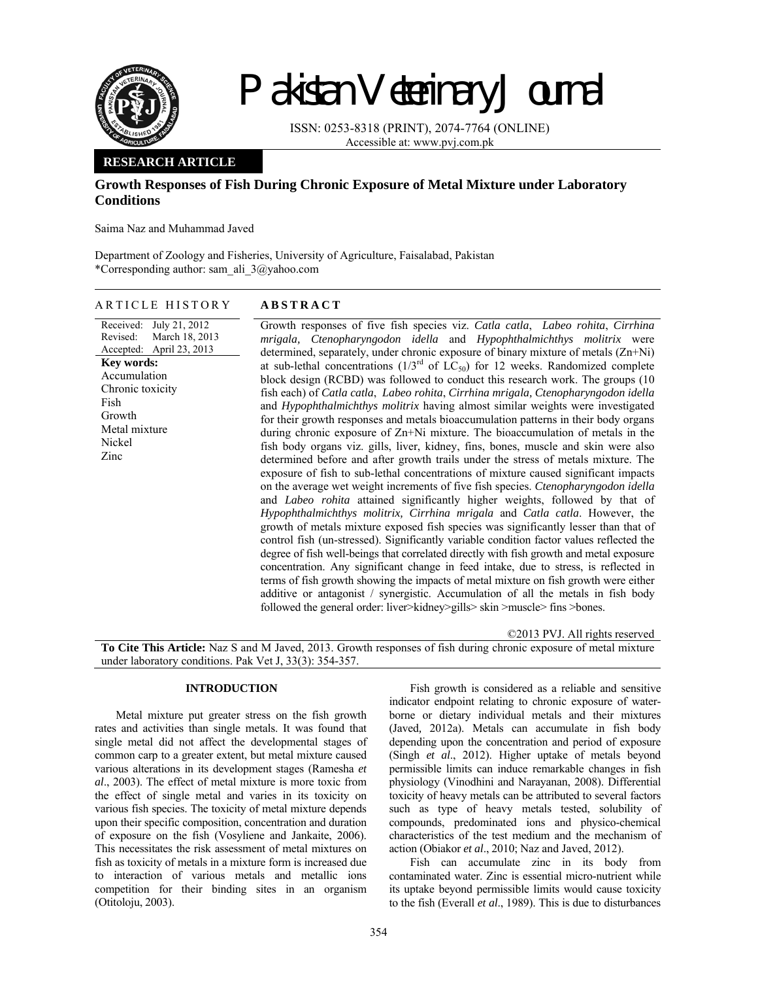

# Pakistan Veterinary Journal

ISSN: 0253-8318 (PRINT), 2074-7764 (ONLINE) Accessible at: www.pvj.com.pk

## **RESEARCH ARTICLE**

# **Growth Responses of Fish During Chronic Exposure of Metal Mixture under Laboratory Conditions**

Saima Naz and Muhammad Javed

Department of Zoology and Fisheries, University of Agriculture, Faisalabad, Pakistan \*Corresponding author: sam\_ali\_3@yahoo.com

## ARTICLE HISTORY **ABSTRACT**

#### Received: July 21, 2012 Revised: Accepted: March 18, 2013 April 23, 2013 **Key words:**  Accumulation Chronic toxicity Fish Growth Metal mixture Nickel Zinc

Growth responses of five fish species viz. *Catla catla*, *Labeo rohita*, *Cirrhina mrigala, Ctenopharyngodon idella* and *Hypophthalmichthys molitrix* were determined, separately, under chronic exposure of binary mixture of metals (Zn+Ni) at sub-lethal concentrations  $(1/3^{rd}$  of  $LC_{50}$ ) for 12 weeks. Randomized complete block design (RCBD) was followed to conduct this research work. The groups (10 fish each) of *Catla catla*, *Labeo rohita*, *Cirrhina mrigala, Ctenopharyngodon idella* and *Hypophthalmichthys molitrix* having almost similar weights were investigated for their growth responses and metals bioaccumulation patterns in their body organs during chronic exposure of Zn+Ni mixture. The bioaccumulation of metals in the fish body organs viz. gills, liver, kidney, fins, bones, muscle and skin were also determined before and after growth trails under the stress of metals mixture. The exposure of fish to sub-lethal concentrations of mixture caused significant impacts on the average wet weight increments of five fish species. *Ctenopharyngodon idella* and *Labeo rohita* attained significantly higher weights, followed by that of *Hypophthalmichthys molitrix, Cirrhina mrigala* and *Catla catla*. However, the growth of metals mixture exposed fish species was significantly lesser than that of control fish (un-stressed). Significantly variable condition factor values reflected the degree of fish well-beings that correlated directly with fish growth and metal exposure concentration. Any significant change in feed intake, due to stress, is reflected in terms of fish growth showing the impacts of metal mixture on fish growth were either additive or antagonist / synergistic. Accumulation of all the metals in fish body followed the general order: liver>kidney>gills> skin >muscle> fins >bones.

©2013 PVJ. All rights reserved

**To Cite This Article:** Naz S and M Javed, 2013. Growth responses of fish during chronic exposure of metal mixture under laboratory conditions. Pak Vet J, 33(3): 354-357.

## **INTRODUCTION**

Metal mixture put greater stress on the fish growth rates and activities than single metals. It was found that single metal did not affect the developmental stages of common carp to a greater extent, but metal mixture caused various alterations in its development stages (Ramesha *et al*., 2003). The effect of metal mixture is more toxic from the effect of single metal and varies in its toxicity on various fish species. The toxicity of metal mixture depends upon their specific composition, concentration and duration of exposure on the fish (Vosyliene and Jankaite, 2006). This necessitates the risk assessment of metal mixtures on fish as toxicity of metals in a mixture form is increased due to interaction of various metals and metallic ions competition for their binding sites in an organism (Otitoloju, 2003).

Fish growth is considered as a reliable and sensitive indicator endpoint relating to chronic exposure of waterborne or dietary individual metals and their mixtures (Javed*,* 2012a). Metals can accumulate in fish body depending upon the concentration and period of exposure (Singh *et al*., 2012). Higher uptake of metals beyond permissible limits can induce remarkable changes in fish physiology (Vinodhini and Narayanan, 2008). Differential toxicity of heavy metals can be attributed to several factors such as type of heavy metals tested, solubility of compounds, predominated ions and physico-chemical characteristics of the test medium and the mechanism of action (Obiakor *et al*., 2010; Naz and Javed, 2012).

Fish can accumulate zinc in its body from contaminated water. Zinc is essential micro-nutrient while its uptake beyond permissible limits would cause toxicity to the fish (Everall *et al*., 1989). This is due to disturbances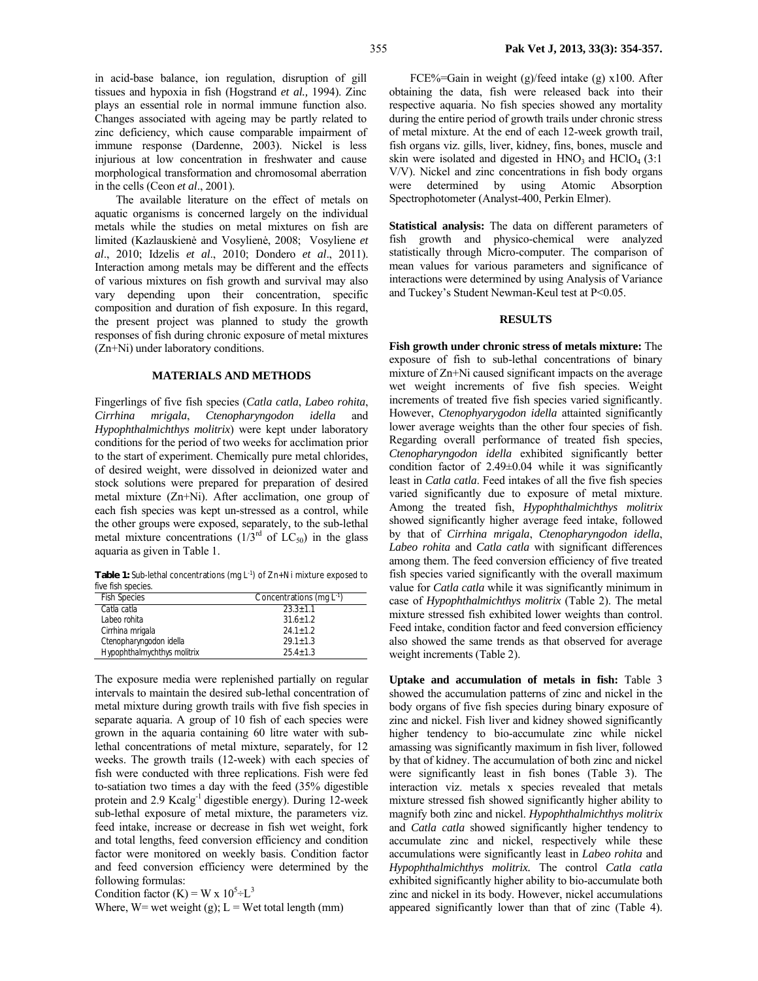in acid-base balance, ion regulation, disruption of gill tissues and hypoxia in fish (Hogstrand *et al.,* 1994). Zinc plays an essential role in normal immune function also. Changes associated with ageing may be partly related to zinc deficiency, which cause comparable impairment of immune response (Dardenne, 2003). Nickel is less injurious at low concentration in freshwater and cause morphological transformation and chromosomal aberration in the cells (Ceon *et al*., 2001).

The available literature on the effect of metals on aquatic organisms is concerned largely on the individual metals while the studies on metal mixtures on fish are limited (Kazlauskienė and Vosylienė, 2008; Vosyliene *et al*., 2010; Idzelis *et al*., 2010; Dondero *et al*., 2011). Interaction among metals may be different and the effects of various mixtures on fish growth and survival may also vary depending upon their concentration, specific composition and duration of fish exposure. In this regard, the present project was planned to study the growth responses of fish during chronic exposure of metal mixtures (Zn+Ni) under laboratory conditions.

#### **MATERIALS AND METHODS**

Fingerlings of five fish species (*Catla catla*, *Labeo rohita*, *Cirrhina mrigala*, *Ctenopharyngodon idella* and *Hypophthalmichthys molitrix*) were kept under laboratory conditions for the period of two weeks for acclimation prior to the start of experiment. Chemically pure metal chlorides, of desired weight, were dissolved in deionized water and stock solutions were prepared for preparation of desired metal mixture (Zn+Ni). After acclimation, one group of each fish species was kept un-stressed as a control, while the other groups were exposed, separately, to the sub-lethal metal mixture concentrations  $(1/3<sup>rd</sup>$  of  $LC<sub>50</sub>)$  in the glass aquaria as given in Table 1.

**Table 1:** Sub-lethal concentrations (mg L-1) of Zn+Ni mixture exposed to five fish species.

| <b>Fish Species</b>         | Concentrations (mg $L^{-1}$ ) |
|-----------------------------|-------------------------------|
| Catla catla                 | $23.3 + 1.1$                  |
| Labeo rohita                | $31.6 + 1.2$                  |
| Cirrhina mrigala            | $24.1 + 1.2$                  |
| Ctenopharyngodon idella     | $29.1 + 1.3$                  |
| Hypophthalmychthys molitrix | $25.4 + 1.3$                  |

The exposure media were replenished partially on regular intervals to maintain the desired sub-lethal concentration of metal mixture during growth trails with five fish species in separate aquaria. A group of 10 fish of each species were grown in the aquaria containing 60 litre water with sublethal concentrations of metal mixture, separately, for 12 weeks. The growth trails (12-week) with each species of fish were conducted with three replications. Fish were fed to-satiation two times a day with the feed (35% digestible protein and 2.9 Kcalg-1 digestible energy). During 12-week sub-lethal exposure of metal mixture, the parameters viz. feed intake, increase or decrease in fish wet weight, fork and total lengths, feed conversion efficiency and condition factor were monitored on weekly basis. Condition factor and feed conversion efficiency were determined by the following formulas:

Condition factor (K) = W x  $10^5 \div L^3$ 

Where, W= wet weight (g);  $L = Wet$  total length (mm)

FCE%=Gain in weight (g)/feed intake (g) x100. After obtaining the data, fish were released back into their respective aquaria. No fish species showed any mortality during the entire period of growth trails under chronic stress of metal mixture. At the end of each 12-week growth trail, fish organs viz. gills, liver, kidney, fins, bones, muscle and skin were isolated and digested in  $HNO_3$  and  $HClO_4$  (3:1) V/V). Nickel and zinc concentrations in fish body organs were determined by using Atomic Absorption Spectrophotometer (Analyst-400, Perkin Elmer).

**Statistical analysis:** The data on different parameters of fish growth and physico-chemical were analyzed statistically through Micro-computer. The comparison of mean values for various parameters and significance of interactions were determined by using Analysis of Variance and Tuckey's Student Newman-Keul test at P<0.05.

### **RESULTS**

**Fish growth under chronic stress of metals mixture:** The exposure of fish to sub-lethal concentrations of binary mixture of Zn+Ni caused significant impacts on the average wet weight increments of five fish species. Weight increments of treated five fish species varied significantly. However, *Ctenophyarygodon idella* attainted significantly lower average weights than the other four species of fish. Regarding overall performance of treated fish species, *Ctenopharyngodon idella* exhibited significantly better condition factor of 2.49±0.04 while it was significantly least in *Catla catla*. Feed intakes of all the five fish species varied significantly due to exposure of metal mixture. Among the treated fish, *Hypophthalmichthys molitrix*  showed significantly higher average feed intake, followed by that of *Cirrhina mrigala*, *Ctenopharyngodon idella*, *Labeo rohita* and *Catla catla* with significant differences among them. The feed conversion efficiency of five treated fish species varied significantly with the overall maximum value for *Catla catla* while it was significantly minimum in case of *Hypophthalmichthys molitrix* (Table 2). The metal mixture stressed fish exhibited lower weights than control. Feed intake, condition factor and feed conversion efficiency also showed the same trends as that observed for average weight increments (Table 2).

**Uptake and accumulation of metals in fish:** Table 3 showed the accumulation patterns of zinc and nickel in the body organs of five fish species during binary exposure of zinc and nickel. Fish liver and kidney showed significantly higher tendency to bio-accumulate zinc while nickel amassing was significantly maximum in fish liver, followed by that of kidney. The accumulation of both zinc and nickel were significantly least in fish bones (Table 3). The interaction viz. metals x species revealed that metals mixture stressed fish showed significantly higher ability to magnify both zinc and nickel. *Hypophthalmichthys molitrix* and *Catla catla* showed significantly higher tendency to accumulate zinc and nickel, respectively while these accumulations were significantly least in *Labeo rohita* and *Hypophthalmichthys molitrix.* The control *Catla catla* exhibited significantly higher ability to bio-accumulate both zinc and nickel in its body. However, nickel accumulations appeared significantly lower than that of zinc (Table 4).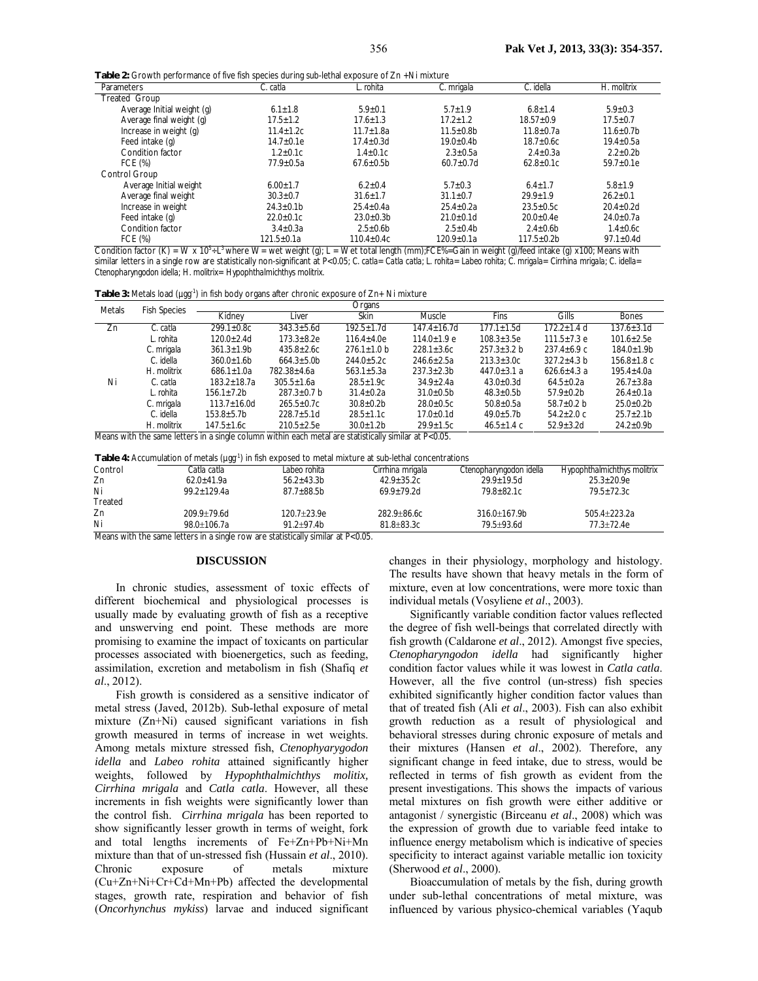**Table 2:** Growth performance of five fish species during sub-lethal exposure of Zn +Ni mixture

| Parameters                      | C. catla         | L. rohita        | C. mrigala       | C. idella         | H. molitrix      |
|---------------------------------|------------------|------------------|------------------|-------------------|------------------|
| <b>Treated Group</b>            |                  |                  |                  |                   |                  |
| Average Initial weight (g)      | $6.1 + 1.8$      | $5.9 + 0.1$      | $5.7 + 1.9$      | $6.8 + 1.4$       | $5.9 + 0.3$      |
| Average final weight (g)        | $17.5 + 1.2$     | $17.6 + 1.3$     | $17.2 + 1.2$     | $18.57 + 0.9$     | $17.5 + 0.7$     |
| Increase in weight (g)          | $11.4 \pm 1.2c$  | $11.7 \pm 1.8a$  | $11.5 \pm 0.8$ b | $11.8 + 0.7a$     | $11.6 \pm 0.7$ b |
| Feed intake (g)                 | $14.7 + 0.1e$    | $17.4 \pm 0.3$ d | $19.0 \pm 0.4$ b | $18.7 \pm 0.6c$   | $19.4 \pm 0.5a$  |
| Condition factor                | $1.2 + 0.1c$     | $1.4 + 0.1c$     | $2.3 + 0.5a$     | $2.4 + 0.3a$      | $2.2 + 0.2b$     |
| FCE (%)                         | $77.9 \pm 0.5a$  | $67.6 \pm 0.5$ b | $60.7 \pm 0.7$ d | $62.8 \pm 0.1c$   | $59.7 \pm 0.1e$  |
| Control Group                   |                  |                  |                  |                   |                  |
| Average Initial weight          | $6.00 \pm 1.7$   | $6.2 + 0.4$      | $5.7 + 0.3$      | $6.4 + 1.7$       | $5.8 + 1.9$      |
| Average final weight            | $30.3 \pm 0.7$   | $31.6 + 1.7$     | $31.1 \pm 0.7$   | $29.9 + 1.9$      | $26.2 + 0.1$     |
| Increase in weight              | $24.3 \pm 0.1$ b | $25.4 + 0.4a$    | $25.4 + 0.2a$    | $23.5 \pm 0.5c$   | $20.4 + 0.2d$    |
| Feed intake (g)                 | $22.0 \pm 0.1c$  | $23.0 + 0.3b$    | $21.0 \pm 0.1$ d | $20.0 + 0.4e$     | $24.0 \pm 0.7a$  |
| Condition factor                | $3.4 + 0.3a$     | $2.5 \pm 0.6$ b  | $2.5 + 0.4b$     | $2.4 \pm 0.6$ b   | $1.4 \pm 0.6c$   |
| FCE (%)<br>$\cdots$<br>$\cdots$ | $121.5 \pm 0.1a$ | $110.4 \pm 0.4c$ | $120.9 \pm 0.1a$ | $117.5 \pm 0.2$ b | $97.1 \pm 0.4$ d |

Condition factor (K) = W x 10<sup>5</sup>÷L<sup>3</sup> where W= wet weight (g); L = Wet total length (mm);FCE%=Gain in weight (g)/feed intake (g) x100; Means with similar letters in a single row are statistically non-significant at P<0.05; *C. catla*= *Catla catla*; *L. rohita*= *Labeo rohita*; *C. mrigala*= *Cirrhina mrigala*; *C. idella*= *Ctenopharyngodon idella*; *H. molitrix*= *Hypophthalmichthys molitrix.*

| Table 3: Metals load (µgg <sup>-1</sup> ) in fish body organs after chronic exposure of Zn+ Ni mixture |  |  |  |  |
|--------------------------------------------------------------------------------------------------------|--|--|--|--|
|--------------------------------------------------------------------------------------------------------|--|--|--|--|

| Metals                                                                                                   | <b>Fish Species</b> | Organs             |                   |                  |                   |                   |                   |                   |
|----------------------------------------------------------------------------------------------------------|---------------------|--------------------|-------------------|------------------|-------------------|-------------------|-------------------|-------------------|
|                                                                                                          |                     | Kidney             | Liver             | Skin             | Muscle            | Fins              | Gills             | <b>Bones</b>      |
| Zn                                                                                                       | C. catla            | $299.1 \pm 0.8$ C  | $343.3 \pm 5.6$ d | $192.5 + 1.7d$   | $147.4 + 16.7d$   | $177.1 + 1.5d$    | $172.2 + 1.4$ d   | $137.6 + 3.1d$    |
|                                                                                                          | L. rohita           | $120.0 \pm 2.4$ d  | $173.3 + 8.2e$    | $116.4 \pm 4.0e$ | $114.0 \pm 1.9 e$ | $108.3 \pm 3.5e$  | $111.5 \pm 7.3$ e | $101.6 \pm 2.5e$  |
|                                                                                                          | C. mrigala          | $361.3 + 1.9b$     | $435.8 \pm 2.6c$  | $276.1 + 1.0$ b  | $228.1 + 3.6c$    | $257.3 + 3.2 b$   | $237.4 + 6.9 c$   | $184.0 + 1.9b$    |
|                                                                                                          | C. idella           | $360.0 \pm 1.6 b$  | $664.3 \pm 5.0$ b | $244.0 \pm 5.2c$ | $246.6 + 2.5a$    | $213.3 \pm 3.0c$  | $327.2 \pm 4.3$ b | $156.8 \pm 1.8$ c |
|                                                                                                          | H. molitrix         | $686.1 \pm 1.0a$   | 782.38±4.6a       | $563.1 \pm 5.3a$ | $237.3 \pm 2.3 b$ | $447.0 \pm 3.1 a$ | $626.6 \pm 4.3$ a | $195.4 \pm 4.0a$  |
| Ni                                                                                                       | C. catla            | $183.2 \pm 18.7a$  | $305.5 \pm 1.6a$  | $28.5 \pm 1.9c$  | $34.9 \pm 2.4a$   | $43.0 \pm 0.3$ d  | $64.5 \pm 0.2a$   | $26.7 \pm 3.8a$   |
|                                                                                                          | L. rohita           | $156.1 + 7.2b$     | $287.3 \pm 0.7$ b | $31.4 \pm 0.2a$  | $31.0 \pm 0.5$ b  | $48.3 \pm 0.5$ b  | $57.9 \pm 0.2$ b  | $26.4 \pm 0.1a$   |
|                                                                                                          | C. mrigala          | $113.7 \pm 16.0$ d | $265.5 \pm 0.7c$  | $30.8 \pm 0.2$   | $28.0 \pm 0.5c$   | $50.8 \pm 0.5a$   | 58.7 $\pm$ 0.2 b  | $25.0 \pm 0.2$ b  |
|                                                                                                          | C. idella           | $153.8 + 5.7b$     | $228.7 \pm 5.1$ d | $28.5 \pm 1.1c$  | $17.0 \pm 0.1$ d  | $49.0 \pm 5.7$ b  | $54.2 \pm 2.0$ c  | $25.7 \pm 2.1$ b  |
|                                                                                                          | H. molitrix         | $147.5 + 1.6c$     | $210.5 \pm 2.5e$  | $30.0 \pm 1.2 b$ | $29.9 \pm 1.5c$   | $46.5 \pm 1.4$ C  | $52.9 \pm 3.2$ d  | $24.2 \pm 0.9$ b  |
| Means with the same letters in a single column within each metal are statistically similar at $P<0.05$ . |                     |                    |                   |                  |                   |                   |                   |                   |

**Table 4:** Accumulation of metals (µgg-1) in fish exposed to metal mixture at sub-lethal concentrations

|         | <b>Table 4:</b> Accumulation of metals (µgg ) in fish exposed to metal mixture at sub-lethal concentrations |                   |                  |                         |                             |
|---------|-------------------------------------------------------------------------------------------------------------|-------------------|------------------|-------------------------|-----------------------------|
| Control | Catla catla                                                                                                 | Labeo rohita      | Cirrhina mrigala | Ctenopharyngodon idella | Hypophthalmichthys molitrix |
| Zn      | $62.0 + 41.9a$                                                                                              | $56.2 + 43.3b$    | $42.9 + 35.2c$   | $29.9 + 19.5d$          | $25.3 + 20.9e$              |
| Ni      | $99.2 + 129.4a$                                                                                             | $87.7 \pm 88.5$ b | $69.9 + 79.2d$   | 79.8+82.1c              | $79.5 + 72.3c$              |
| Treated |                                                                                                             |                   |                  |                         |                             |
| Zn      | $209.9 + 79.6$ d                                                                                            | 120.7±23.9e       | $282.9 + 86.6c$  | $316.0 + 167.9$ b       | $505.4 + 223.2a$            |
| Ni      | 98.0+106.7a                                                                                                 | $91.2 + 97.4b$    | $81.8 + 83.3c$   | 79.5+93.6d              | 77.3+72.4e                  |

Means with the same letters in a single row are statistically similar at P<0.05.

#### **DISCUSSION**

In chronic studies, assessment of toxic effects of different biochemical and physiological processes is usually made by evaluating growth of fish as a receptive and unswerving end point. These methods are more promising to examine the impact of toxicants on particular processes associated with bioenergetics, such as feeding, assimilation, excretion and metabolism in fish (Shafiq *et al*., 2012).

Fish growth is considered as a sensitive indicator of metal stress (Javed, 2012b). Sub-lethal exposure of metal mixture (Zn+Ni) caused significant variations in fish growth measured in terms of increase in wet weights. Among metals mixture stressed fish, *Ctenophyarygodon idella* and *Labeo rohita* attained significantly higher weights, followed by *Hypophthalmichthys molitix, Cirrhina mrigala* and *Catla catla*. However, all these increments in fish weights were significantly lower than the control fish. *Cirrhina mrigala* has been reported to show significantly lesser growth in terms of weight, fork and total lengths increments of Fe+Zn+Pb+Ni+Mn mixture than that of un-stressed fish (Hussain *et al*., 2010). Chronic exposure of metals mixture (Cu+Zn+Ni+Cr+Cd+Mn+Pb) affected the developmental stages, growth rate, respiration and behavior of fish (*Oncorhynchus mykiss*) larvae and induced significant

changes in their physiology, morphology and histology. The results have shown that heavy metals in the form of mixture, even at low concentrations, were more toxic than individual metals (Vosyliene *et al*., 2003).

Significantly variable condition factor values reflected the degree of fish well-beings that correlated directly with fish growth (Caldarone *et al*., 2012). Amongst five species, *Ctenopharyngodon idella* had significantly higher condition factor values while it was lowest in *Catla catla*. However, all the five control (un-stress) fish species exhibited significantly higher condition factor values than that of treated fish (Ali *et al*., 2003). Fish can also exhibit growth reduction as a result of physiological and behavioral stresses during chronic exposure of metals and their mixtures (Hansen *et al*., 2002). Therefore, any significant change in feed intake, due to stress, would be reflected in terms of fish growth as evident from the present investigations. This shows the impacts of various metal mixtures on fish growth were either additive or antagonist / synergistic (Birceanu *et al*., 2008) which was the expression of growth due to variable feed intake to influence energy metabolism which is indicative of species specificity to interact against variable metallic ion toxicity (Sherwood *et al*., 2000).

Bioaccumulation of metals by the fish, during growth under sub-lethal concentrations of metal mixture, was influenced by various physico-chemical variables (Yaqub